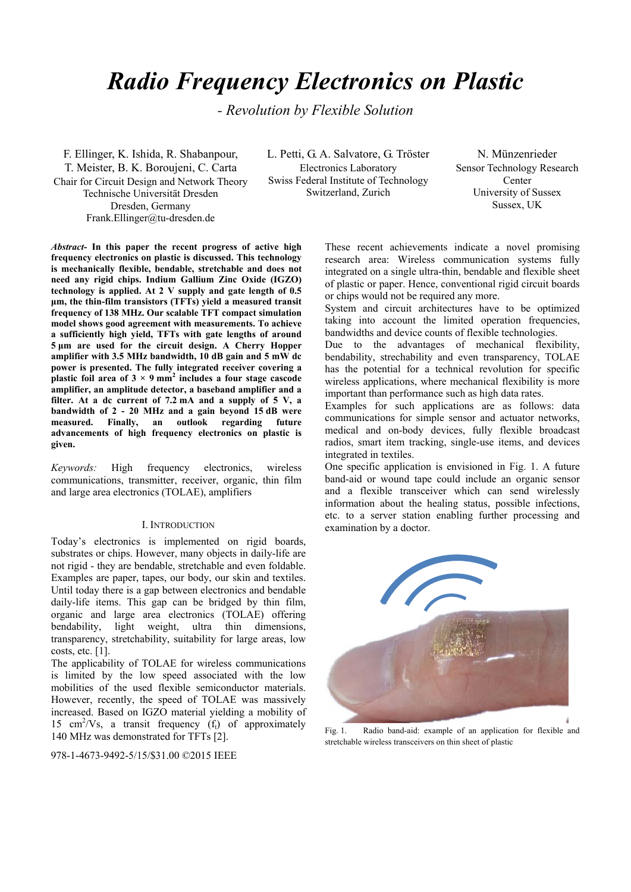# *Radio Frequency Electronics on Plastic*

*- Revolution by Flexible Solution* 

F. Ellinger, K. Ishida, R. Shabanpour, T. Meister, B. K. Boroujeni, C. Carta Chair for Circuit Design and Network Theory Technische Universität Dresden Dresden, Germany Frank.Ellinger@tu-dresden.de

L. Petti, G. A. Salvatore, G. Tröster Electronics Laboratory Swiss Federal Institute of Technology Switzerland, Zurich

N. Münzenrieder Sensor Technology Research Center University of Sussex Sussex, UK

*Abstract-* **In this paper the recent progress of active high frequency electronics on plastic is discussed. This technology is mechanically flexible, bendable, stretchable and does not need any rigid chips. Indium Gallium Zinc Oxide (IGZO) technology is applied. At 2 V supply and gate length of 0.5 μm, the thin-film transistors (TFTs) yield a measured transit frequency of 138 MHz. Our scalable TFT compact simulation model shows good agreement with measurements. To achieve a sufficiently high yield, TFTs with gate lengths of around 5 μm are used for the circuit design. A Cherry Hopper amplifier with 3.5 MHz bandwidth, 10 dB gain and 5 mW dc power is presented. The fully integrated receiver covering a**  plastic foil area of  $3 \times 9$  mm<sup>2</sup> includes a four stage cascode **amplifier, an amplitude detector, a baseband amplifier and a filter. At a dc current of 7.2 mA and a supply of 5 V, a bandwidth of 2 - 20 MHz and a gain beyond 15 dB were measured. Finally, an outlook regarding future advancements of high frequency electronics on plastic is given.** 

*Keywords:* High frequency electronics, wireless communications, transmitter, receiver, organic, thin film and large area electronics (TOLAE), amplifiers

#### I. INTRODUCTION

Today's electronics is implemented on rigid boards, substrates or chips. However, many objects in daily-life are not rigid - they are bendable, stretchable and even foldable. Examples are paper, tapes, our body, our skin and textiles. Until today there is a gap between electronics and bendable daily-life items. This gap can be bridged by thin film, organic and large area electronics (TOLAE) offering bendability, light weight, ultra thin dimensions, transparency, stretchability, suitability for large areas, low costs, etc. [1].

The applicability of TOLAE for wireless communications is limited by the low speed associated with the low mobilities of the used flexible semiconductor materials. However, recently, the speed of TOLAE was massively increased. Based on IGZO material yielding a mobility of 15  $\text{cm}^2/\text{Vs}$ , a transit frequency (f<sub>t</sub>) of approximately 140 MHz was demonstrated for TFTs [2].

978-1-4673-9492-5/15/\$31.00 ©2015 IEEE

These recent achievements indicate a novel promising research area: Wireless communication systems fully integrated on a single ultra-thin, bendable and flexible sheet of plastic or paper. Hence, conventional rigid circuit boards or chips would not be required any more.

System and circuit architectures have to be optimized taking into account the limited operation frequencies, bandwidths and device counts of flexible technologies.

Due to the advantages of mechanical flexibility, bendability, strechability and even transparency, TOLAE has the potential for a technical revolution for specific wireless applications, where mechanical flexibility is more important than performance such as high data rates.

Examples for such applications are as follows: data communications for simple sensor and actuator networks, medical and on-body devices, fully flexible broadcast radios, smart item tracking, single-use items, and devices integrated in textiles.

One specific application is envisioned in Fig. 1. A future band-aid or wound tape could include an organic sensor and a flexible transceiver which can send wirelessly information about the healing status, possible infections, etc. to a server station enabling further processing and examination by a doctor.



Fig. 1. Radio band-aid: example of an application for flexible and stretchable wireless transceivers on thin sheet of plastic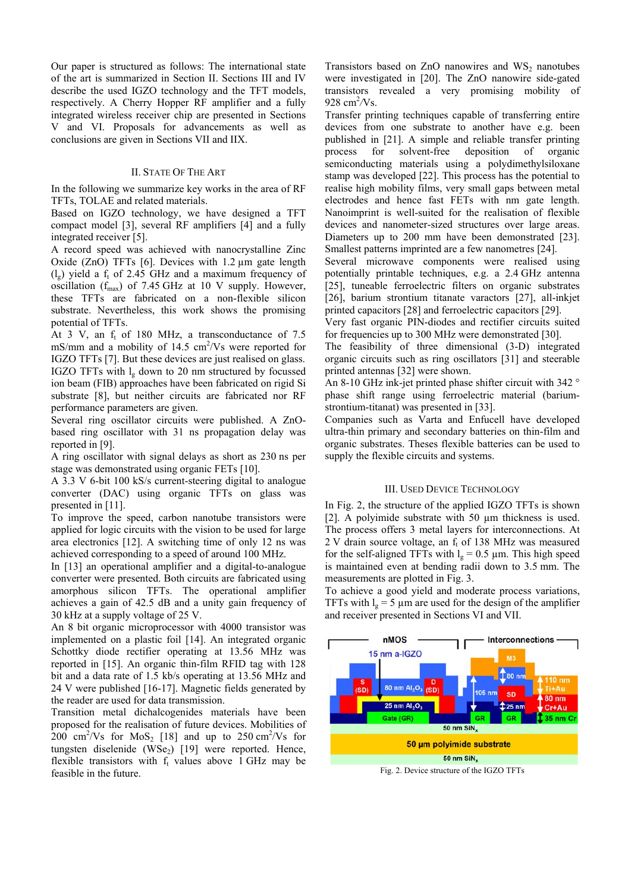Our paper is structured as follows: The international state of the art is summarized in Section II. Sections III and IV describe the used IGZO technology and the TFT models, respectively. A Cherry Hopper RF amplifier and a fully integrated wireless receiver chip are presented in Sections V and VI. Proposals for advancements as well as conclusions are given in Sections VII and IIX.

#### II. STATE OF THE ART

In the following we summarize key works in the area of RF TFTs, TOLAE and related materials.

Based on IGZO technology, we have designed a TFT compact model [3], several RF amplifiers [4] and a fully integrated receiver [5].

A record speed was achieved with nanocrystalline Zinc Oxide (ZnO) TFTs [6]. Devices with  $1.2 \mu m$  gate length  $(l_g)$  yield a f<sub>t</sub> of 2.45 GHz and a maximum frequency of oscillation ( $f_{\text{max}}$ ) of 7.45 GHz at 10 V supply. However, these TFTs are fabricated on a non-flexible silicon substrate. Nevertheless, this work shows the promising potential of TFTs.

At 3 V, an  $f_t$  of 180 MHz, a transconductance of 7.5 mS/mm and a mobility of  $14.5 \text{ cm}^2/\text{Vs}$  were reported for IGZO TFTs [7]. But these devices are just realised on glass. IGZO TFTs with  $l_{\sigma}$  down to 20 nm structured by focussed ion beam (FIB) approaches have been fabricated on rigid Si substrate [8], but neither circuits are fabricated nor RF performance parameters are given.

Several ring oscillator circuits were published. A ZnObased ring oscillator with 31 ns propagation delay was reported in [9].

A ring oscillator with signal delays as short as 230 ns per stage was demonstrated using organic FETs [10].

A 3.3 V 6-bit 100 kS/s current-steering digital to analogue converter (DAC) using organic TFTs on glass was presented in [11].

To improve the speed, carbon nanotube transistors were applied for logic circuits with the vision to be used for large area electronics [12]. A switching time of only 12 ns was achieved corresponding to a speed of around 100 MHz.

In [13] an operational amplifier and a digital-to-analogue converter were presented. Both circuits are fabricated using amorphous silicon TFTs. The operational amplifier achieves a gain of 42.5 dB and a unity gain frequency of 30 kHz at a supply voltage of 25 V.

An 8 bit organic microprocessor with 4000 transistor was implemented on a plastic foil [14]. An integrated organic Schottky diode rectifier operating at 13.56 MHz was reported in [15]. An organic thin-film RFID tag with 128 bit and a data rate of 1.5 kb/s operating at 13.56 MHz and 24 V were published [16-17]. Magnetic fields generated by the reader are used for data transmission.

Transition metal dichalcogenides materials have been proposed for the realisation of future devices. Mobilities of 200 cm<sup>2</sup>/Vs for  $MoS_2$  [18] and up to 250 cm<sup>2</sup>/Vs for tungsten diselenide  $(WSe<sub>2</sub>)$  [19] were reported. Hence, flexible transistors with  $f_t$  values above 1 GHz may be feasible in the future.

Transistors based on  $ZnO$  nanowires and  $WS<sub>2</sub>$  nanotubes were investigated in [20]. The ZnO nanowire side-gated transistors revealed a very promising mobility of 928 cm2 */*Vs.

Transfer printing techniques capable of transferring entire devices from one substrate to another have e.g. been published in [21]. A simple and reliable transfer printing process for solvent-free deposition of organic semiconducting materials using a polydimethylsiloxane stamp was developed [22]. This process has the potential to realise high mobility films, very small gaps between metal electrodes and hence fast FETs with nm gate length. Nanoimprint is well-suited for the realisation of flexible devices and nanometer-sized structures over large areas. Diameters up to 200 mm have been demonstrated [23]. Smallest patterns imprinted are a few nanometres [24].

Several microwave components were realised using potentially printable techniques, e.g. a 2.4 GHz antenna [25], tuneable ferroelectric filters on organic substrates [26], barium strontium titanate varactors [27], all-inkjet printed capacitors [28] and ferroelectric capacitors [29].

Very fast organic PIN-diodes and rectifier circuits suited for frequencies up to 300 MHz were demonstrated [30].

The feasibility of three dimensional (3-D) integrated organic circuits such as ring oscillators [31] and steerable printed antennas [32] were shown.

An 8-10 GHz ink-jet printed phase shifter circuit with 342 ° phase shift range using ferroelectric material (bariumstrontium-titanat) was presented in [33].

Companies such as Varta and Enfucell have developed ultra-thin primary and secondary batteries on thin-film and organic substrates. Theses flexible batteries can be used to supply the flexible circuits and systems.

#### III. USED DEVICE TECHNOLOGY

In Fig. 2, the structure of the applied IGZO TFTs is shown [2]. A polyimide substrate with 50  $\mu$ m thickness is used. The process offers 3 metal layers for interconnections. At  $2$  V drain source voltage, an  $f<sub>t</sub>$  of 138 MHz was measured for the self-aligned TFTs with  $l_g = 0.5 \mu m$ . This high speed is maintained even at bending radii down to 3.5 mm. The measurements are plotted in Fig. 3.

To achieve a good yield and moderate process variations, TFTs with  $l_{\rm g}$  = 5 µm are used for the design of the amplifier and receiver presented in Sections VI and VII.



Fig. 2. Device structure of the IGZO TFTs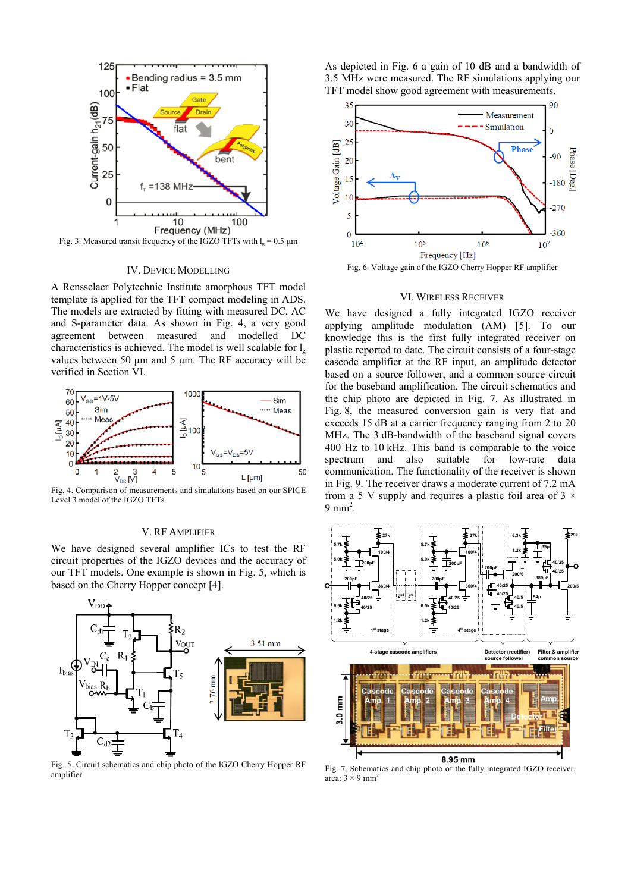

Fig. 3. Measured transit frequency of the IGZO TFTs with  $l<sub>e</sub> = 0.5$  um

#### IV. DEVICE MODELLING

A Rensselaer Polytechnic Institute amorphous TFT model template is applied for the TFT compact modeling in ADS. The models are extracted by fitting with measured DC, AC and S-parameter data. As shown in Fig. 4, a very good agreement between measured and modelled DC characteristics is achieved. The model is well scalable for  $l_{\alpha}$ values between 50 μm and 5 μm. The RF accuracy will be verified in Section VI.



Fig. 4. Comparison of measurements and simulations based on our SPICE Level 3 model of the IGZO TFTs

# V. RF AMPLIFIER

We have designed several amplifier ICs to test the RF circuit properties of the IGZO devices and the accuracy of our TFT models. One example is shown in Fig. 5, which is based on the Cherry Hopper concept [4].



Fig. 5. Circuit schematics and chip photo of the IGZO Cherry Hopper RF amplifier

As depicted in Fig. 6 a gain of 10 dB and a bandwidth of 3.5 MHz were measured. The RF simulations applying our TFT model show good agreement with measurements.



Fig. 6. Voltage gain of the IGZO Cherry Hopper RF amplifier

#### VI. WIRELESS RECEIVER

We have designed a fully integrated IGZO receiver applying amplitude modulation (AM) [5]. To our knowledge this is the first fully integrated receiver on plastic reported to date. The circuit consists of a four-stage cascode amplifier at the RF input, an amplitude detector based on a source follower, and a common source circuit for the baseband amplification. The circuit schematics and the chip photo are depicted in Fig. 7. As illustrated in Fig. 8, the measured conversion gain is very flat and exceeds 15 dB at a carrier frequency ranging from 2 to 20 MHz. The 3 dB-bandwidth of the baseband signal covers 400 Hz to 10 kHz. This band is comparable to the voice spectrum and also suitable for low-rate data communication. The functionality of the receiver is shown in Fig. 9. The receiver draws a moderate current of 7.2 mA from a 5 V supply and requires a plastic foil area of 3  $\times$  $9 \text{ mm}^2$ .



Fig. 7. Schematics and chip photo of the fully integrated IGZO receiver, area:  $3 \times 9$  mm<sup>2</sup>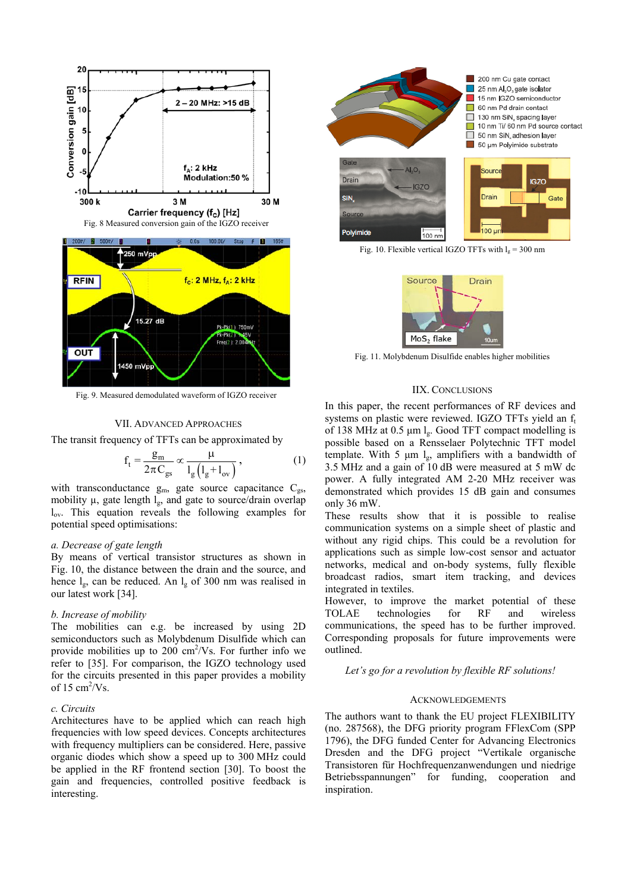

Fig. 9. Measured demodulated waveform of IGZO receiver

#### VII. ADVANCED APPROACHES

The transit frequency of TFTs can be approximated by

$$
f_t = \frac{g_m}{2\pi C_{gs}} \propto \frac{\mu}{l_g \left(l_g + l_{ov}\right)},\tag{1}
$$

with transconductance  $g_m$ , gate source capacitance  $C_{gs}$ , mobility  $\mu$ , gate length  $l_{g}$ , and gate to source/drain overlap lov. This equation reveals the following examples for potential speed optimisations:

#### *a. Decrease of gate length*

By means of vertical transistor structures as shown in Fig. 10, the distance between the drain and the source, and hence  $l_{\rm g}$ , can be reduced. An  $l_{\rm g}$  of 300 nm was realised in our latest work [34].

#### *b. Increase of mobility*

The mobilities can e.g. be increased by using 2D semiconductors such as Molybdenum Disulfide which can provide mobilities up to  $200 \text{ cm}^2/\text{Vs}$ . For further info we refer to [35]. For comparison, the IGZO technology used for the circuits presented in this paper provides a mobility of 15  $\text{cm}^2/\text{Vs}$ .

### *c. Circuits*

Architectures have to be applied which can reach high frequencies with low speed devices. Concepts architectures with frequency multipliers can be considered. Here, passive organic diodes which show a speed up to 300 MHz could be applied in the RF frontend section [30]. To boost the gain and frequencies, controlled positive feedback is interesting.



Fig. 10. Flexible vertical IGZO TFTs with  $l_g = 300$  nm



Fig. 11. Molybdenum Disulfide enables higher mobilities

## IIX. CONCLUSIONS

In this paper, the recent performances of RF devices and systems on plastic were reviewed. IGZO TFTs yield an  $f_t$ of 138 MHz at 0.5  $\mu$ m l<sub>g</sub>. Good TFT compact modelling is possible based on a Rensselaer Polytechnic TFT model template. With 5  $\mu$ m l<sub>g</sub>, amplifiers with a bandwidth of 3.5 MHz and a gain of 10 dB were measured at 5 mW dc power. A fully integrated AM 2-20 MHz receiver was demonstrated which provides 15 dB gain and consumes only 36 mW.

These results show that it is possible to realise communication systems on a simple sheet of plastic and without any rigid chips. This could be a revolution for applications such as simple low-cost sensor and actuator networks, medical and on-body systems, fully flexible broadcast radios, smart item tracking, and devices integrated in textiles.

However, to improve the market potential of these TOLAE technologies for RF and wireless communications, the speed has to be further improved. Corresponding proposals for future improvements were outlined.

*Let's go for a revolution by flexible RF solutions!* 

#### ACKNOWLEDGEMENTS

The authors want to thank the EU project FLEXIBILITY (no. 287568), the DFG priority program FFlexCom (SPP 1796), the DFG funded Center for Advancing Electronics Dresden and the DFG project "Vertikale organische Transistoren für Hochfrequenzanwendungen und niedrige Betriebsspannungen" for funding, cooperation and inspiration.